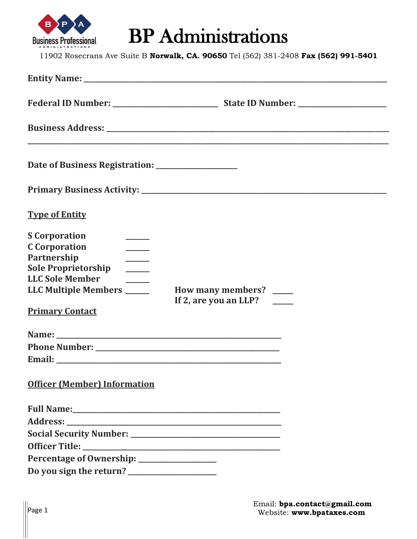

## BP Administrations

11902 Rosecrans Ave Suite B **Norwalk, CA. 90650** Tel (562) 381-2408 **Fax (562) 991-5401**

| <b>Type of Entity</b>                                                                                                                                                                                                                                                                                                                                   |                                                                        |
|---------------------------------------------------------------------------------------------------------------------------------------------------------------------------------------------------------------------------------------------------------------------------------------------------------------------------------------------------------|------------------------------------------------------------------------|
| <b>S</b> Corporation<br><b>C</b> Corporation<br>$\frac{1}{1}$<br>Partnership<br><u>a sa tsa an tsa an tsa an tsa an tsa an tsa an tsa an tsa an tsa an tsa an tsa an tsa an tsa an tsa an tsa an </u><br><b>Sole Proprietorship</b><br>$\frac{1}{1}$<br><b>LLC Sole Member</b><br>$\frac{1}{1}$<br>LLC Multiple Members _____<br><b>Primary Contact</b> | How many members? ____<br>If 2, are you an LLP? $\qquad \qquad \qquad$ |
|                                                                                                                                                                                                                                                                                                                                                         |                                                                        |
| <b>Officer (Member) Information</b>                                                                                                                                                                                                                                                                                                                     |                                                                        |
|                                                                                                                                                                                                                                                                                                                                                         |                                                                        |
|                                                                                                                                                                                                                                                                                                                                                         |                                                                        |
|                                                                                                                                                                                                                                                                                                                                                         |                                                                        |
|                                                                                                                                                                                                                                                                                                                                                         |                                                                        |
| Percentage of Ownership: ____________________                                                                                                                                                                                                                                                                                                           |                                                                        |
|                                                                                                                                                                                                                                                                                                                                                         |                                                                        |